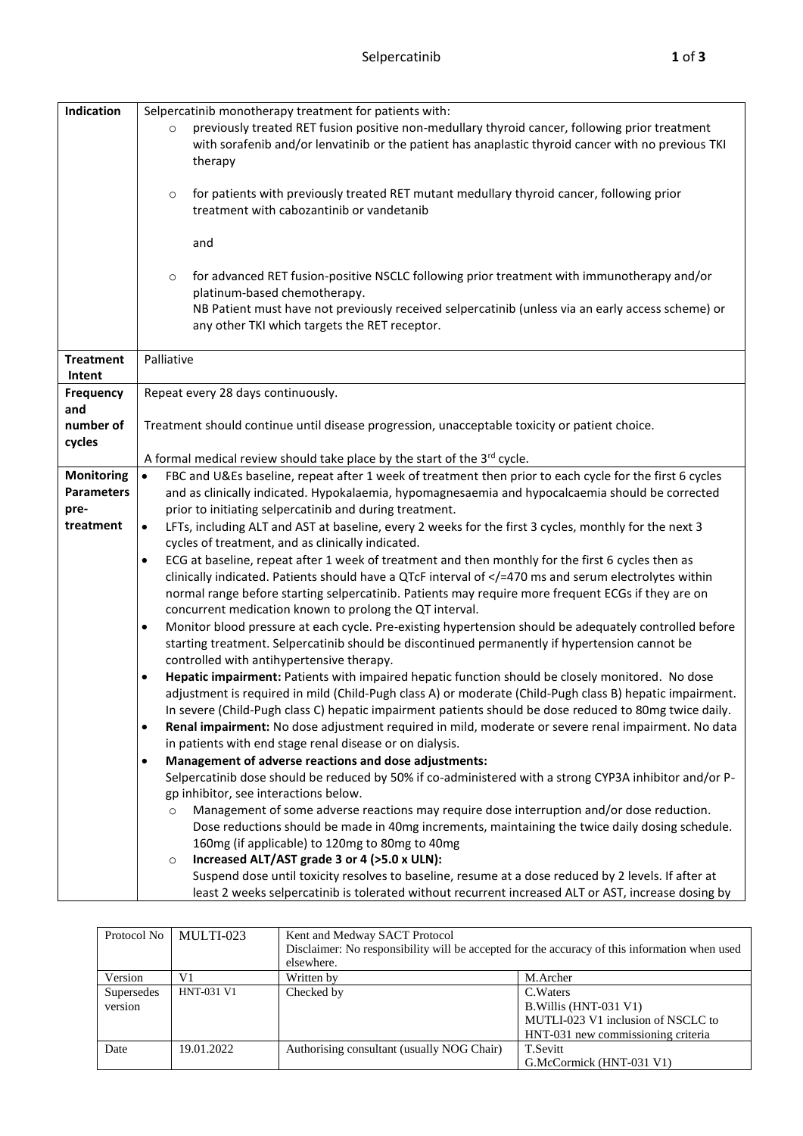| Indication                 | Selpercatinib monotherapy treatment for patients with:<br>previously treated RET fusion positive non-medullary thyroid cancer, following prior treatment<br>$\circ$<br>with sorafenib and/or lenvatinib or the patient has anaplastic thyroid cancer with no previous TKI<br>therapy |  |  |  |
|----------------------------|--------------------------------------------------------------------------------------------------------------------------------------------------------------------------------------------------------------------------------------------------------------------------------------|--|--|--|
|                            |                                                                                                                                                                                                                                                                                      |  |  |  |
|                            | for patients with previously treated RET mutant medullary thyroid cancer, following prior<br>$\circ$<br>treatment with cabozantinib or vandetanib                                                                                                                                    |  |  |  |
|                            | and                                                                                                                                                                                                                                                                                  |  |  |  |
|                            | for advanced RET fusion-positive NSCLC following prior treatment with immunotherapy and/or<br>$\circ$<br>platinum-based chemotherapy.<br>NB Patient must have not previously received selpercatinib (unless via an early access scheme) or                                           |  |  |  |
|                            | any other TKI which targets the RET receptor.                                                                                                                                                                                                                                        |  |  |  |
| <b>Treatment</b><br>Intent | Palliative                                                                                                                                                                                                                                                                           |  |  |  |
| Frequency<br>and           | Repeat every 28 days continuously.                                                                                                                                                                                                                                                   |  |  |  |
| number of<br>cycles        | Treatment should continue until disease progression, unacceptable toxicity or patient choice.                                                                                                                                                                                        |  |  |  |
|                            | A formal medical review should take place by the start of the 3rd cycle.                                                                                                                                                                                                             |  |  |  |
| <b>Monitoring</b>          | FBC and U&Es baseline, repeat after 1 week of treatment then prior to each cycle for the first 6 cycles<br>$\bullet$                                                                                                                                                                 |  |  |  |
| <b>Parameters</b>          | and as clinically indicated. Hypokalaemia, hypomagnesaemia and hypocalcaemia should be corrected                                                                                                                                                                                     |  |  |  |
| pre-                       | prior to initiating selpercatinib and during treatment.                                                                                                                                                                                                                              |  |  |  |
| treatment                  | LFTs, including ALT and AST at baseline, every 2 weeks for the first 3 cycles, monthly for the next 3<br>$\bullet$<br>cycles of treatment, and as clinically indicated.                                                                                                              |  |  |  |
|                            | ECG at baseline, repeat after 1 week of treatment and then monthly for the first 6 cycles then as<br>$\bullet$                                                                                                                                                                       |  |  |  |
|                            | clinically indicated. Patients should have a QTcF interval of =470 ms and serum electrolytes within<br normal range before starting selpercatinib. Patients may require more frequent ECGs if they are on<br>concurrent medication known to prolong the QT interval.                 |  |  |  |
|                            | Monitor blood pressure at each cycle. Pre-existing hypertension should be adequately controlled before<br>٠<br>starting treatment. Selpercatinib should be discontinued permanently if hypertension cannot be<br>controlled with antihypertensive therapy.                           |  |  |  |
|                            | Hepatic impairment: Patients with impaired hepatic function should be closely monitored. No dose<br>٠                                                                                                                                                                                |  |  |  |
|                            | adjustment is required in mild (Child-Pugh class A) or moderate (Child-Pugh class B) hepatic impairment.<br>In severe (Child-Pugh class C) hepatic impairment patients should be dose reduced to 80mg twice daily.                                                                   |  |  |  |
|                            | Renal impairment: No dose adjustment required in mild, moderate or severe renal impairment. No data<br>$\bullet$<br>in patients with end stage renal disease or on dialysis.                                                                                                         |  |  |  |
|                            | Management of adverse reactions and dose adjustments:<br>$\bullet$                                                                                                                                                                                                                   |  |  |  |
|                            | Selpercatinib dose should be reduced by 50% if co-administered with a strong CYP3A inhibitor and/or P-                                                                                                                                                                               |  |  |  |
|                            | gp inhibitor, see interactions below.                                                                                                                                                                                                                                                |  |  |  |
|                            | Management of some adverse reactions may require dose interruption and/or dose reduction.<br>$\circ$                                                                                                                                                                                 |  |  |  |
|                            | Dose reductions should be made in 40mg increments, maintaining the twice daily dosing schedule.                                                                                                                                                                                      |  |  |  |
|                            | 160mg (if applicable) to 120mg to 80mg to 40mg                                                                                                                                                                                                                                       |  |  |  |
|                            | Increased ALT/AST grade 3 or 4 (>5.0 x ULN):<br>$\circ$                                                                                                                                                                                                                              |  |  |  |
|                            | Suspend dose until toxicity resolves to baseline, resume at a dose reduced by 2 levels. If after at<br>least 2 weeks selpercatinib is tolerated without recurrent increased ALT or AST, increase dosing by                                                                           |  |  |  |
|                            |                                                                                                                                                                                                                                                                                      |  |  |  |

| Protocol No | MULTI-023         | Kent and Medway SACT Protocol                                                                 |                                    |  |
|-------------|-------------------|-----------------------------------------------------------------------------------------------|------------------------------------|--|
|             |                   | Disclaimer: No responsibility will be accepted for the accuracy of this information when used |                                    |  |
|             |                   | elsewhere.                                                                                    |                                    |  |
| Version     | V1                | Written by                                                                                    | M.Archer                           |  |
| Supersedes  | <b>HNT-031 V1</b> | Checked by                                                                                    | C. Waters                          |  |
| version     |                   |                                                                                               | B. Willis (HNT-031 V1)             |  |
|             |                   |                                                                                               | MUTLI-023 V1 inclusion of NSCLC to |  |
|             |                   |                                                                                               | HNT-031 new commissioning criteria |  |
| Date        | 19.01.2022        | Authorising consultant (usually NOG Chair)                                                    | T.Sevitt                           |  |
|             |                   |                                                                                               | G.McCormick (HNT-031 V1)           |  |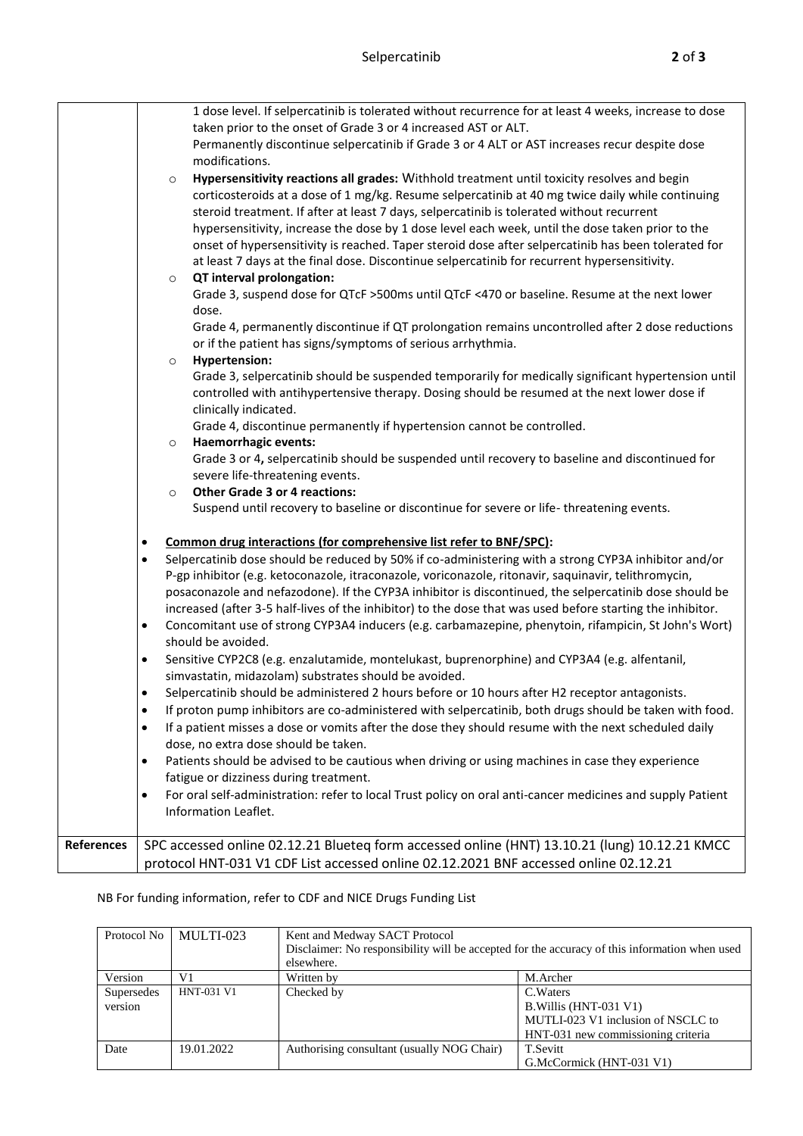|            | 1 dose level. If selpercatinib is tolerated without recurrence for at least 4 weeks, increase to dose<br>taken prior to the onset of Grade 3 or 4 increased AST or ALT.<br>Permanently discontinue selpercatinib if Grade 3 or 4 ALT or AST increases recur despite dose<br>modifications.<br>Hypersensitivity reactions all grades: Withhold treatment until toxicity resolves and begin<br>$\circ$<br>corticosteroids at a dose of 1 mg/kg. Resume selpercatinib at 40 mg twice daily while continuing<br>steroid treatment. If after at least 7 days, selpercatinib is tolerated without recurrent<br>hypersensitivity, increase the dose by 1 dose level each week, until the dose taken prior to the<br>onset of hypersensitivity is reached. Taper steroid dose after selpercatinib has been tolerated for<br>at least 7 days at the final dose. Discontinue selpercatinib for recurrent hypersensitivity.<br>QT interval prolongation:<br>$\circ$<br>Grade 3, suspend dose for QTcF >500ms until QTcF <470 or baseline. Resume at the next lower<br>dose.<br>Grade 4, permanently discontinue if QT prolongation remains uncontrolled after 2 dose reductions<br>or if the patient has signs/symptoms of serious arrhythmia.<br><b>Hypertension:</b><br>$\circ$<br>Grade 3, selpercatinib should be suspended temporarily for medically significant hypertension until<br>controlled with antihypertensive therapy. Dosing should be resumed at the next lower dose if<br>clinically indicated.<br>Grade 4, discontinue permanently if hypertension cannot be controlled.<br>Haemorrhagic events:<br>$\circ$<br>Grade 3 or 4, selpercatinib should be suspended until recovery to baseline and discontinued for<br>severe life-threatening events.<br><b>Other Grade 3 or 4 reactions:</b><br>$\circ$<br>Suspend until recovery to baseline or discontinue for severe or life-threatening events.<br>Common drug interactions (for comprehensive list refer to BNF/SPC):<br>$\bullet$<br>Selpercatinib dose should be reduced by 50% if co-administering with a strong CYP3A inhibitor and/or<br>$\bullet$<br>P-gp inhibitor (e.g. ketoconazole, itraconazole, voriconazole, ritonavir, saquinavir, telithromycin,<br>posaconazole and nefazodone). If the CYP3A inhibitor is discontinued, the selpercatinib dose should be<br>increased (after 3-5 half-lives of the inhibitor) to the dose that was used before starting the inhibitor. |
|------------|---------------------------------------------------------------------------------------------------------------------------------------------------------------------------------------------------------------------------------------------------------------------------------------------------------------------------------------------------------------------------------------------------------------------------------------------------------------------------------------------------------------------------------------------------------------------------------------------------------------------------------------------------------------------------------------------------------------------------------------------------------------------------------------------------------------------------------------------------------------------------------------------------------------------------------------------------------------------------------------------------------------------------------------------------------------------------------------------------------------------------------------------------------------------------------------------------------------------------------------------------------------------------------------------------------------------------------------------------------------------------------------------------------------------------------------------------------------------------------------------------------------------------------------------------------------------------------------------------------------------------------------------------------------------------------------------------------------------------------------------------------------------------------------------------------------------------------------------------------------------------------------------------------------------------------------------------------------------------------------------------------------------------------------------------------------------------------------------------------------------------------------------------------------------------------------------------------------------------------------------------------------------------------------------------------------------------------------------------------------------------------------------------------------------------------------------------|
|            | Concomitant use of strong CYP3A4 inducers (e.g. carbamazepine, phenytoin, rifampicin, St John's Wort)<br>$\bullet$<br>should be avoided.<br>Sensitive CYP2C8 (e.g. enzalutamide, montelukast, buprenorphine) and CYP3A4 (e.g. alfentanil,<br>$\bullet$<br>simvastatin, midazolam) substrates should be avoided.                                                                                                                                                                                                                                                                                                                                                                                                                                                                                                                                                                                                                                                                                                                                                                                                                                                                                                                                                                                                                                                                                                                                                                                                                                                                                                                                                                                                                                                                                                                                                                                                                                                                                                                                                                                                                                                                                                                                                                                                                                                                                                                                   |
|            | Selpercatinib should be administered 2 hours before or 10 hours after H2 receptor antagonists.<br>$\bullet$<br>If proton pump inhibitors are co-administered with selpercatinib, both drugs should be taken with food.<br>$\bullet$<br>If a patient misses a dose or vomits after the dose they should resume with the next scheduled daily<br>$\bullet$<br>dose, no extra dose should be taken.                                                                                                                                                                                                                                                                                                                                                                                                                                                                                                                                                                                                                                                                                                                                                                                                                                                                                                                                                                                                                                                                                                                                                                                                                                                                                                                                                                                                                                                                                                                                                                                                                                                                                                                                                                                                                                                                                                                                                                                                                                                  |
|            | Patients should be advised to be cautious when driving or using machines in case they experience<br>$\bullet$<br>fatigue or dizziness during treatment.<br>For oral self-administration: refer to local Trust policy on oral anti-cancer medicines and supply Patient<br>٠<br>Information Leaflet.                                                                                                                                                                                                                                                                                                                                                                                                                                                                                                                                                                                                                                                                                                                                                                                                                                                                                                                                                                                                                                                                                                                                                                                                                                                                                                                                                                                                                                                                                                                                                                                                                                                                                                                                                                                                                                                                                                                                                                                                                                                                                                                                                |
| References | SPC accessed online 02.12.21 Blueteq form accessed online (HNT) 13.10.21 (lung) 10.12.21 KMCC<br>protocol HNT-031 V1 CDF List accessed online 02.12.2021 BNF accessed online 02.12.21                                                                                                                                                                                                                                                                                                                                                                                                                                                                                                                                                                                                                                                                                                                                                                                                                                                                                                                                                                                                                                                                                                                                                                                                                                                                                                                                                                                                                                                                                                                                                                                                                                                                                                                                                                                                                                                                                                                                                                                                                                                                                                                                                                                                                                                             |

## NB For funding information, refer to CDF and NICE Drugs Funding List

| Protocol No | MULTI-023         | Kent and Medway SACT Protocol<br>Disclaimer: No responsibility will be accepted for the accuracy of this information when used |                                    |  |
|-------------|-------------------|--------------------------------------------------------------------------------------------------------------------------------|------------------------------------|--|
|             |                   | elsewhere.                                                                                                                     |                                    |  |
| Version     | V1                | Written by                                                                                                                     | M.Archer                           |  |
| Supersedes  | <b>HNT-031 V1</b> | Checked by                                                                                                                     | C. Waters                          |  |
| version     |                   |                                                                                                                                | B. Willis (HNT-031 V1)             |  |
|             |                   |                                                                                                                                | MUTLI-023 V1 inclusion of NSCLC to |  |
|             |                   |                                                                                                                                | HNT-031 new commissioning criteria |  |
| Date        | 19.01.2022        | Authorising consultant (usually NOG Chair)                                                                                     | <b>T.Sevitt</b>                    |  |
|             |                   |                                                                                                                                | G.McCormick (HNT-031 V1)           |  |